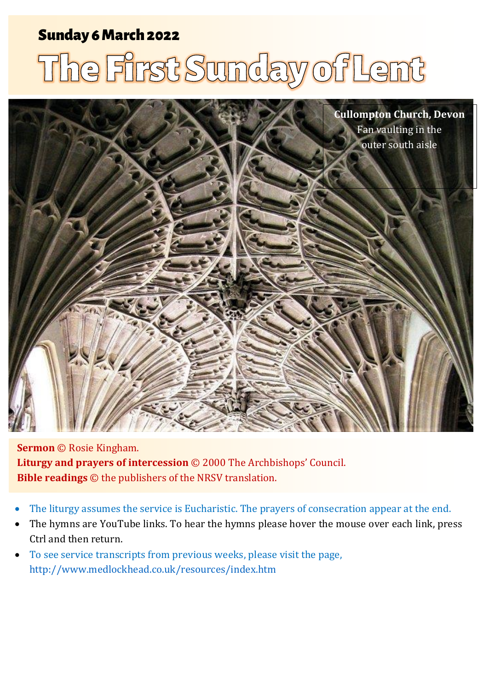# Sunday 6 March 2022 1 The First Sunday of Lent Sunday 6 March 2022

# The First Sunday of Lent



**Sermon** © Rosie Kingham. **Liturgy and prayers of intercession** © 2000 The Archbishops' Council. **Bible readings** © the publishers of the NRSV translation.

- The liturgy assumes the service is Eucharistic. The prayers of consecration appear at the end.
- The hymns are YouTube links. To hear the hymns please hover the mouse over each link, press Ctrl and then return.
- To see service transcripts from previous weeks, please visit the page, <http://www.medlockhead.co.uk/resources/index.htm>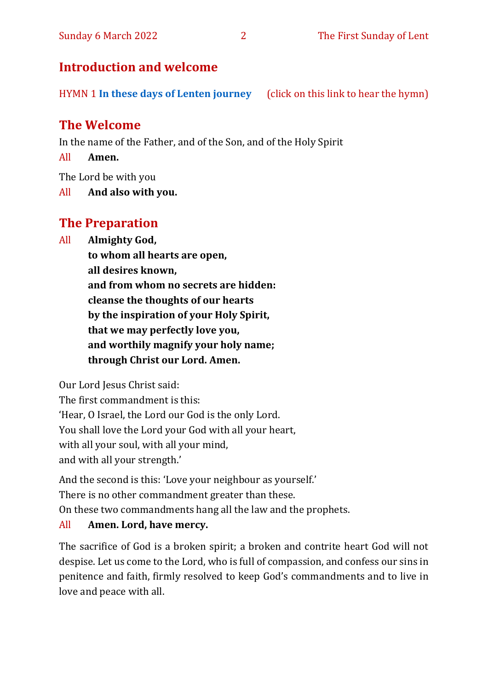#### Sunday 6 March 2022 2 2 The First Sunday of Lent

# **Introduction and welcome**

HYMN 1 **[In these days of Lenten journey](https://www.youtube.com/watch?v=VVaF8iRofgE)** (click on this link to hear the hymn)

# **The Welcome**

In the name of the Father, and of the Son, and of the Holy Spirit

All **Amen.**

The Lord be with you

All **And also with you.**

# **The Preparation**

All **Almighty God,**

**to whom all hearts are open, all desires known, and from whom no secrets are hidden: cleanse the thoughts of our hearts by the inspiration of your Holy Spirit, that we may perfectly love you, and worthily magnify your holy name; through Christ our Lord. Amen.**

Our Lord Jesus Christ said:

The first commandment is this: 'Hear, O Israel, the Lord our God is the only Lord. You shall love the Lord your God with all your heart, with all your soul, with all your mind, and with all your strength.'

And the second is this: 'Love your neighbour as yourself.' There is no other commandment greater than these.

On these two commandments hang all the law and the prophets.

#### All **Amen. Lord, have mercy.**

The sacrifice of God is a broken spirit; a broken and contrite heart God will not despise. Let us come to the Lord, who is full of compassion, and confess our sins in penitence and faith, firmly resolved to keep God's commandments and to live in love and peace with all.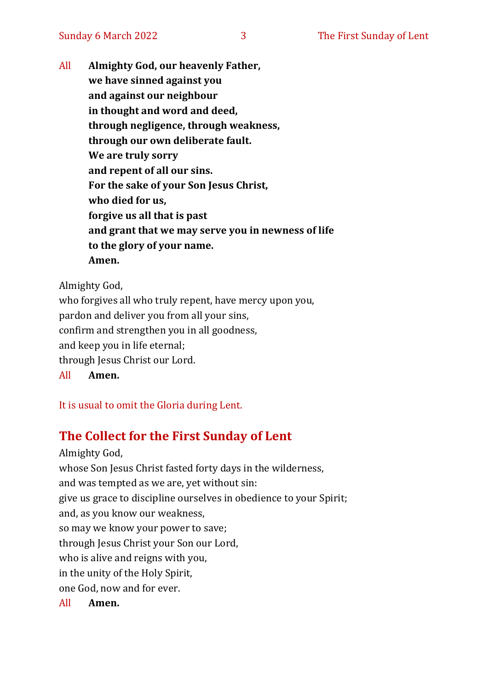All **Almighty God, our heavenly Father, we have sinned against you and against our neighbour in thought and word and deed, through negligence, through weakness, through our own deliberate fault. We are truly sorry and repent of all our sins. For the sake of your Son Jesus Christ, who died for us, forgive us all that is past and grant that we may serve you in newness of life to the glory of your name. Amen.**

Almighty God,

who forgives all who truly repent, have mercy upon you, pardon and deliver you from all your sins, confirm and strengthen you in all goodness, and keep you in life eternal; through Jesus Christ our Lord. All **Amen.**

It is usual to omit the Gloria during Lent.

# **The Collect for the First Sunday of Lent**

Almighty God, whose Son Jesus Christ fasted forty days in the wilderness, and was tempted as we are, yet without sin: give us grace to discipline ourselves in obedience to your Spirit; and, as you know our weakness, so may we know your power to save; through Jesus Christ your Son our Lord, who is alive and reigns with you, in the unity of the Holy Spirit, one God, now and for ever. All **Amen.**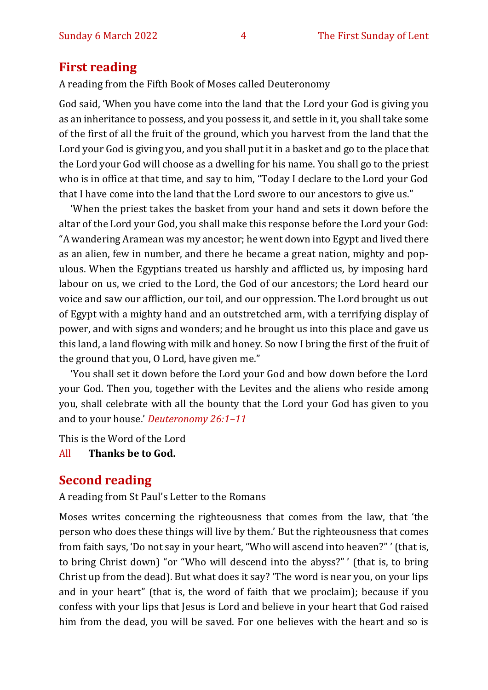#### **First reading**

A reading from the Fifth Book of Moses called Deuteronomy

God said, 'When you have come into the land that the Lord your God is giving you as an inheritance to possess, and you possess it, and settle in it, you shall take some of the first of all the fruit of the ground, which you harvest from the land that the Lord your God is giving you, and you shall put it in a basket and go to the place that the Lord your God will choose as a dwelling for his name. You shall go to the priest who is in office at that time, and say to him, "Today I declare to the Lord your God that I have come into the land that the Lord swore to our ancestors to give us."

'When the priest takes the basket from your hand and sets it down before the altar of the Lord your God, you shall make this response before the Lord your God: "A wandering Aramean was my ancestor; he went down into Egypt and lived there as an alien, few in number, and there he became a great nation, mighty and populous. When the Egyptians treated us harshly and afflicted us, by imposing hard labour on us, we cried to the Lord, the God of our ancestors; the Lord heard our voice and saw our affliction, our toil, and our oppression. The Lord brought us out of Egypt with a mighty hand and an outstretched arm, with a terrifying display of power, and with signs and wonders; and he brought us into this place and gave us this land, a land flowing with milk and honey. So now I bring the first of the fruit of the ground that you, O Lord, have given me."

'You shall set it down before the Lord your God and bow down before the Lord your God. Then you, together with the Levites and the aliens who reside among you, shall celebrate with all the bounty that the Lord your God has given to you and to your house.' *Deuteronomy 26:1–11*

This is the Word of the Lord

All **Thanks be to God.**

#### **Second reading**

A reading from St Paul's Letter to the Romans

Moses writes concerning the righteousness that comes from the law, that 'the person who does these things will live by them.' But the righteousness that comes from faith says, 'Do not say in your heart, "Who will ascend into heaven?" ' (that is, to bring Christ down) "or "Who will descend into the abyss?" ' (that is, to bring Christ up from the dead). But what does it say? 'The word is near you, on your lips and in your heart" (that is, the word of faith that we proclaim); because if you confess with your lips that Jesus is Lord and believe in your heart that God raised him from the dead, you will be saved. For one believes with the heart and so is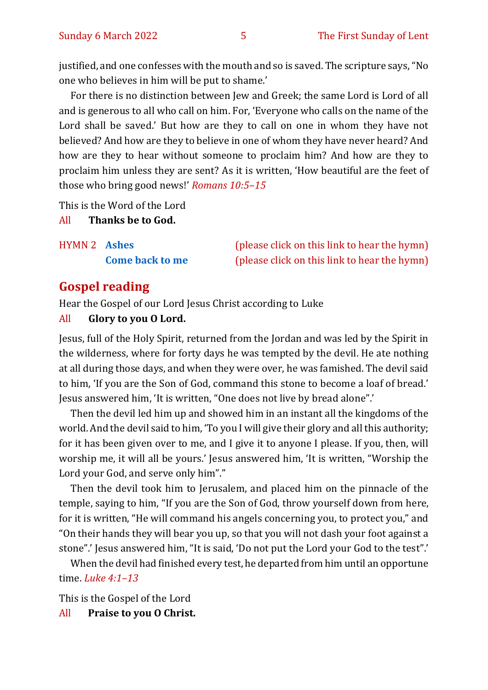justified, and one confesses with the mouth and so is saved. The scripture says, "No one who believes in him will be put to shame.'

For there is no distinction between Jew and Greek; the same Lord is Lord of all and is generous to all who call on him. For, 'Everyone who calls on the name of the Lord shall be saved.' But how are they to call on one in whom they have not believed? And how are they to believe in one of whom they have never heard? And how are they to hear without someone to proclaim him? And how are they to proclaim him unless they are sent? As it is written, 'How beautiful are the feet of those who bring good news!' *Romans 10:5–15*

This is the Word of the Lord

All **Thanks be to God.**

| <b>HYMN 2 Ashes</b> |                        |
|---------------------|------------------------|
|                     | <b>Come back to me</b> |

(please click on this link to hear the hymn) (please click on this link to hear the hymn)

#### **Gospel reading**

Hear the Gospel of our Lord Jesus Christ according to Luke

#### All **Glory to you O Lord.**

Jesus, full of the Holy Spirit, returned from the Jordan and was led by the Spirit in the wilderness, where for forty days he was tempted by the devil. He ate nothing at all during those days, and when they were over, he was famished. The devil said to him, 'If you are the Son of God, command this stone to become a loaf of bread.' Jesus answered him, 'It is written, "One does not live by bread alone".'

Then the devil led him up and showed him in an instant all the kingdoms of the world. And the devil said to him, 'To you I will give their glory and all this authority; for it has been given over to me, and I give it to anyone I please. If you, then, will worship me, it will all be yours.' Jesus answered him, 'It is written, "Worship the Lord your God, and serve only him"."

Then the devil took him to Jerusalem, and placed him on the pinnacle of the temple, saying to him, "If you are the Son of God, throw yourself down from here, for it is written, "He will command his angels concerning you, to protect you," and "On their hands they will bear you up, so that you will not dash your foot against a stone".' Jesus answered him, "It is said, 'Do not put the Lord your God to the test".'

When the devil had finished every test, he departed from him until an opportune time. *Luke 4:1–13*

This is the Gospel of the Lord

All **Praise to you O Christ.**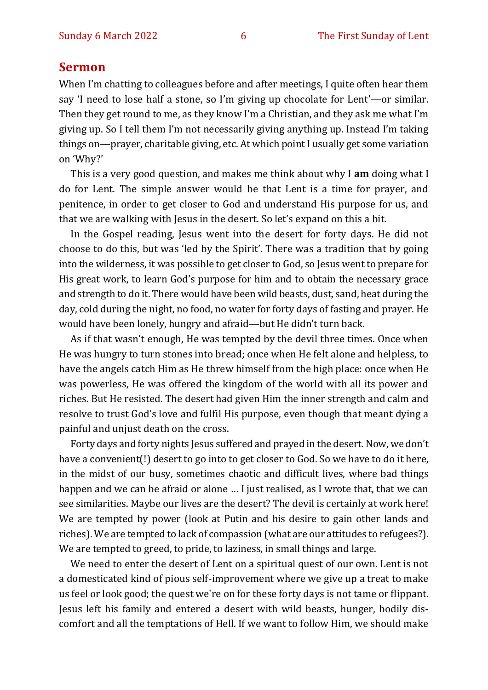#### **Sermon**

When I'm chatting to colleagues before and after meetings, I quite often hear them say 'I need to lose half a stone, so I'm giving up chocolate for Lent'—or similar. Then they get round to me, as they know I'm a Christian, and they ask me what I'm giving up. So I tell them I'm not necessarily giving anything up. Instead I'm taking things on—prayer, charitable giving, etc. At which point I usually get some variation on 'Why?'

This is a very good question, and makes me think about why I **am** doing what I do for Lent. The simple answer would be that Lent is a time for prayer, and penitence, in order to get closer to God and understand His purpose for us, and that we are walking with Jesus in the desert. So let's expand on this a bit.

In the Gospel reading, Jesus went into the desert for forty days. He did not choose to do this, but was 'led by the Spirit'. There was a tradition that by going into the wilderness, it was possible to get closer to God, so Jesus went to prepare for His great work, to learn God's purpose for him and to obtain the necessary grace and strength to do it. There would have been wild beasts, dust, sand, heat during the day, cold during the night, no food, no water for forty days of fasting and prayer. He would have been lonely, hungry and afraid—but He didn't turn back.

As if that wasn't enough, He was tempted by the devil three times. Once when He was hungry to turn stones into bread; once when He felt alone and helpless, to have the angels catch Him as He threw himself from the high place: once when He was powerless, He was offered the kingdom of the world with all its power and riches. But He resisted. The desert had given Him the inner strength and calm and resolve to trust God's love and fulfil His purpose, even though that meant dying a painful and unjust death on the cross.

Forty days and forty nights Jesus suffered and prayed in the desert. Now, we don't have a convenient(!) desert to go into to get closer to God. So we have to do it here, in the midst of our busy, sometimes chaotic and difficult lives, where bad things happen and we can be afraid or alone … I just realised, as I wrote that, that we can see similarities. Maybe our lives are the desert? The devil is certainly at work here! We are tempted by power (look at Putin and his desire to gain other lands and riches). We are tempted to lack of compassion (what are our attitudes to refugees?). We are tempted to greed, to pride, to laziness, in small things and large.

We need to enter the desert of Lent on a spiritual quest of our own. Lent is not a domesticated kind of pious self-improvement where we give up a treat to make us feel or look good; the quest we're on for these forty days is not tame or flippant. Jesus left his family and entered a desert with wild beasts, hunger, bodily discomfort and all the temptations of Hell. If we want to follow Him, we should make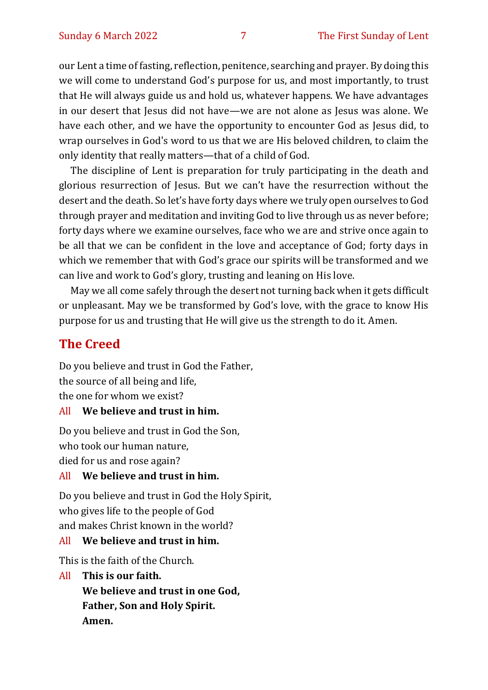our Lent a time of fasting, reflection, penitence, searching and prayer. By doing this we will come to understand God's purpose for us, and most importantly, to trust that He will always guide us and hold us, whatever happens. We have advantages in our desert that Jesus did not have—we are not alone as Jesus was alone. We have each other, and we have the opportunity to encounter God as Jesus did, to wrap ourselves in God's word to us that we are His beloved children, to claim the only identity that really matters—that of a child of God.

The discipline of Lent is preparation for truly participating in the death and glorious resurrection of Jesus. But we can't have the resurrection without the desert and the death. So let's have forty days where we truly open ourselves to God through prayer and meditation and inviting God to live through us as never before; forty days where we examine ourselves, face who we are and strive once again to be all that we can be confident in the love and acceptance of God; forty days in which we remember that with God's grace our spirits will be transformed and we can live and work to God's glory, trusting and leaning on His love.

May we all come safely through the desert not turning back when it gets difficult or unpleasant. May we be transformed by God's love, with the grace to know His purpose for us and trusting that He will give us the strength to do it. Amen.

#### **The Creed**

Do you believe and trust in God the Father, the source of all being and life, the one for whom we exist?

#### All **We believe and trust in him.**

Do you believe and trust in God the Son, who took our human nature, died for us and rose again?

#### All **We believe and trust in him.**

Do you believe and trust in God the Holy Spirit, who gives life to the people of God and makes Christ known in the world?

#### All **We believe and trust in him.**

This is the faith of the Church.

All **This is our faith.**

**We believe and trust in one God, Father, Son and Holy Spirit. Amen.**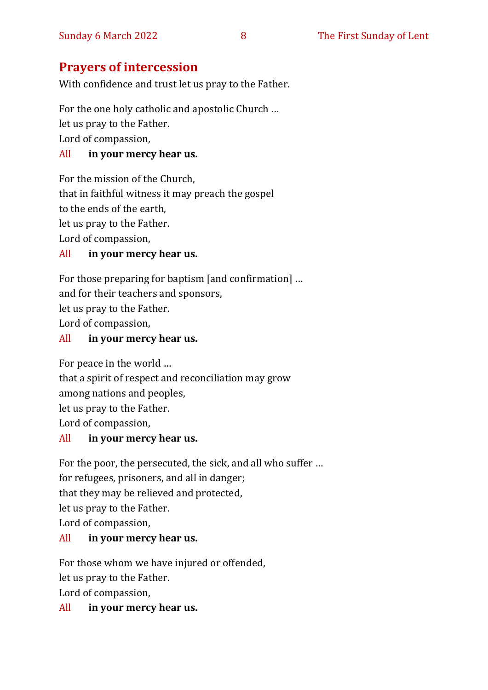## **Prayers of intercession**

With confidence and trust let us pray to the Father.

For the one holy catholic and apostolic Church …

let us pray to the Father.

Lord of compassion,

#### All **in your mercy hear us.**

For the mission of the Church, that in faithful witness it may preach the gospel to the ends of the earth, let us pray to the Father.

Lord of compassion,

#### All **in your mercy hear us.**

For those preparing for baptism [and confirmation] … and for their teachers and sponsors, let us pray to the Father. Lord of compassion,

#### All **in your mercy hear us.**

For peace in the world …

that a spirit of respect and reconciliation may grow

among nations and peoples,

let us pray to the Father.

Lord of compassion,

#### All **in your mercy hear us.**

For the poor, the persecuted, the sick, and all who suffer …

for refugees, prisoners, and all in danger;

that they may be relieved and protected,

let us pray to the Father.

Lord of compassion,

#### All **in your mercy hear us.**

For those whom we have injured or offended,

let us pray to the Father.

Lord of compassion,

#### All **in your mercy hear us.**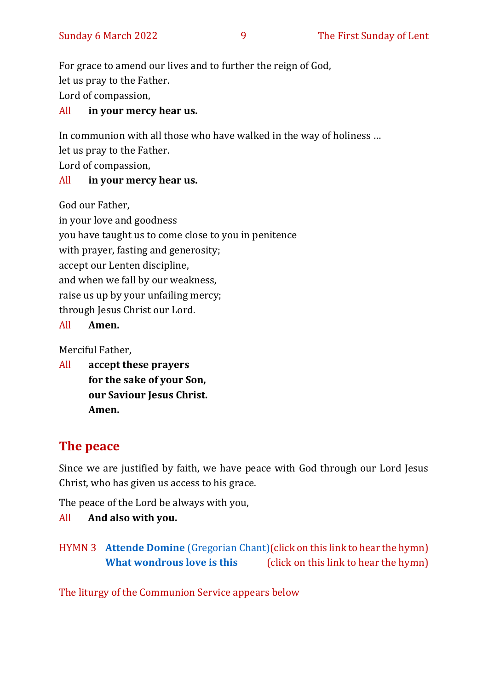For grace to amend our lives and to further the reign of God, let us pray to the Father. Lord of compassion,

#### All **in your mercy hear us.**

In communion with all those who have walked in the way of holiness …

let us pray to the Father.

Lord of compassion,

#### All **in your mercy hear us.**

God our Father,

in your love and goodness you have taught us to come close to you in penitence with prayer, fasting and generosity; accept our Lenten discipline, and when we fall by our weakness, raise us up by your unfailing mercy; through Jesus Christ our Lord.

#### All **Amen.**

Merciful Father,

All **accept these prayers for the sake of your Son, our Saviour Jesus Christ. Amen.**

### **The peace**

Since we are justified by faith, we have peace with God through our Lord Jesus Christ, who has given us access to his grace.

The peace of the Lord be always with you,

All **And also with you.**

HYMN 3 **Attende Domine** [\(Gregorian Chant\)\(](https://www.youtube.com/watch?v=t7Glyu7tEWU&t=6s)click on this link to hear the hymn) **[What wondrous love is this](https://www.youtube.com/watch?v=eBtaO_kGrBs)** (click on this link to hear the hymn)

The liturgy of the Communion Service appears below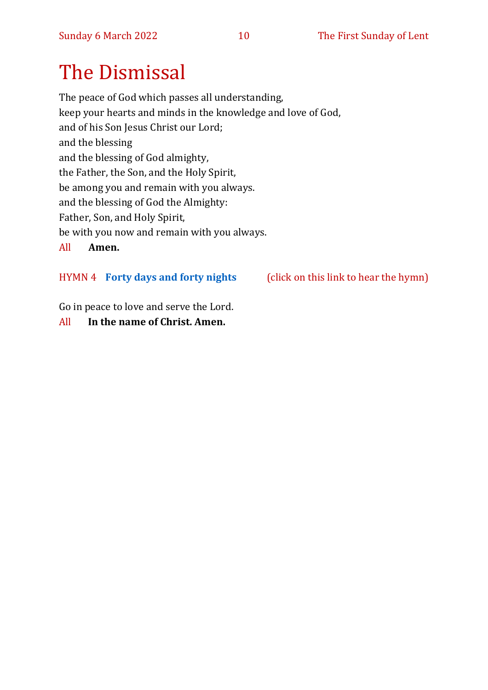# The Dismissal

The peace of God which passes all understanding, keep your hearts and minds in the knowledge and love of God, and of his Son Jesus Christ our Lord; and the blessing and the blessing of God almighty, the Father, the Son, and the Holy Spirit, be among you and remain with you always. and the blessing of God the Almighty: Father, Son, and Holy Spirit, be with you now and remain with you always. All **Amen.**

#### HYMN 4 **[Forty days and forty nights](https://www.youtube.com/watch?v=Yf-P_TsAyT0)** (click on this link to hear the hymn)

Go in peace to love and serve the Lord.

#### All **In the name of Christ. Amen.**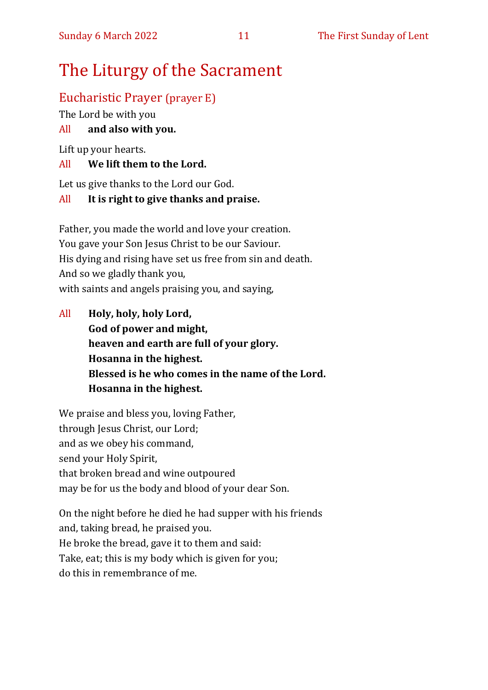# The Liturgy of the Sacrament

#### Eucharistic Prayer (prayer E)

The Lord be with you

#### All **and also with you.**

Lift up your hearts.

#### All **We lift them to the Lord.**

Let us give thanks to the Lord our God.

#### All **It is right to give thanks and praise.**

Father, you made the world and love your creation. You gave your Son Jesus Christ to be our Saviour. His dying and rising have set us free from sin and death. And so we gladly thank you, with saints and angels praising you, and saying,

All **Holy, holy, holy Lord, God of power and might, heaven and earth are full of your glory. Hosanna in the highest. Blessed is he who comes in the name of the Lord. Hosanna in the highest.**

We praise and bless you, loving Father, through Jesus Christ, our Lord; and as we obey his command, send your Holy Spirit, that broken bread and wine outpoured may be for us the body and blood of your dear Son.

On the night before he died he had supper with his friends and, taking bread, he praised you. He broke the bread, gave it to them and said: Take, eat; this is my body which is given for you; do this in remembrance of me.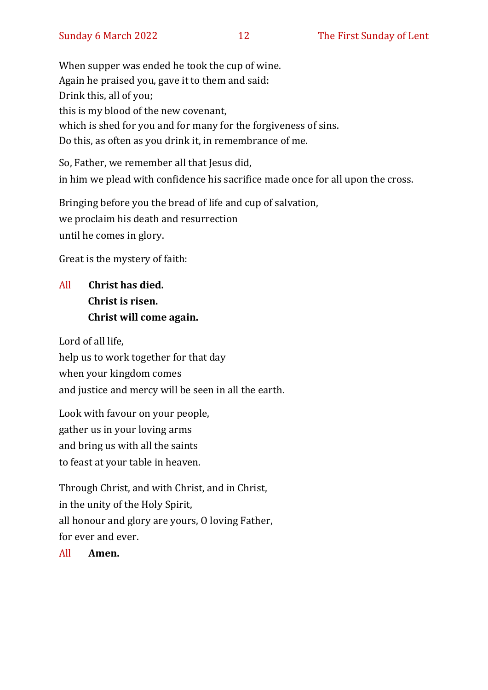When supper was ended he took the cup of wine. Again he praised you, gave it to them and said: Drink this, all of you; this is my blood of the new covenant, which is shed for you and for many for the forgiveness of sins. Do this, as often as you drink it, in remembrance of me.

So, Father, we remember all that Jesus did, in him we plead with confidence his sacrifice made once for all upon the cross.

Bringing before you the bread of life and cup of salvation, we proclaim his death and resurrection until he comes in glory.

Great is the mystery of faith:

# All **Christ has died. Christ is risen. Christ will come again.**

Lord of all life, help us to work together for that day when your kingdom comes and justice and mercy will be seen in all the earth.

Look with favour on your people, gather us in your loving arms and bring us with all the saints to feast at your table in heaven.

Through Christ, and with Christ, and in Christ, in the unity of the Holy Spirit, all honour and glory are yours, O loving Father, for ever and ever.

All **Amen.**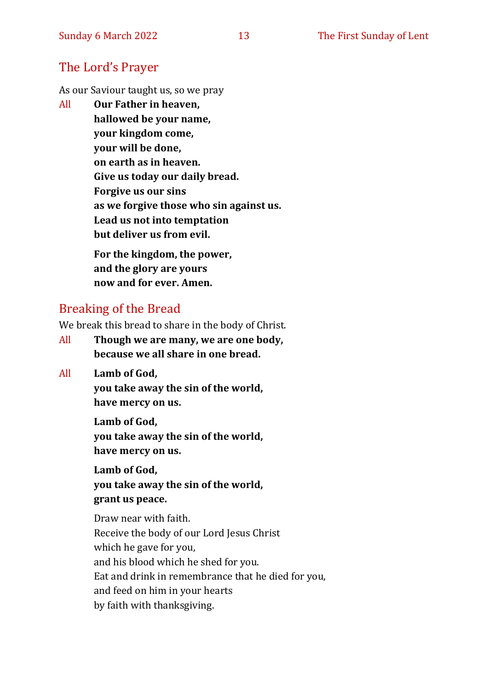#### The Lord's Prayer

As our Saviour taught us, so we pray

All **Our Father in heaven, hallowed be your name, your kingdom come, your will be done, on earth as in heaven. Give us today our daily bread. Forgive us our sins as we forgive those who sin against us. Lead us not into temptation but deliver us from evil. For the kingdom, the power,** 

**and the glory are yours now and for ever. Amen.**

#### Breaking of the Bread

We break this bread to share in the body of Christ.

- All **Though we are many, we are one body, because we all share in one bread.**
- All **Lamb of God,**

**you take away the sin of the world, have mercy on us.**

**Lamb of God, you take away the sin of the world, have mercy on us.**

**Lamb of God, you take away the sin of the world, grant us peace.**

Draw near with faith. Receive the body of our Lord Jesus Christ which he gave for you, and his blood which he shed for you. Eat and drink in remembrance that he died for you, and feed on him in your hearts by faith with thanksgiving.